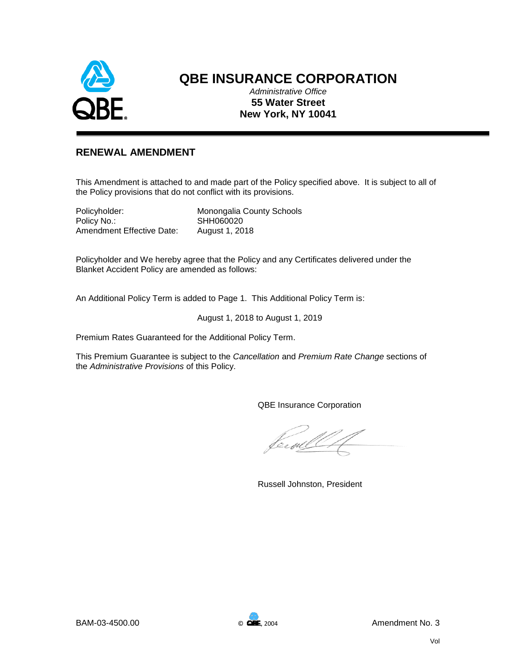

# **QBE INSURANCE CORPORATION**

*Administrative Office* **55 Water Street New York, NY 10041**

## **RENEWAL AMENDMENT**

This Amendment is attached to and made part of the Policy specified above. It is subject to all of the Policy provisions that do not conflict with its provisions.

Policy No.: SHH060020 Amendment Effective Date: August 1, 2018

Policyholder: Monongalia County Schools

Policyholder and We hereby agree that the Policy and any Certificates delivered under the Blanket Accident Policy are amended as follows:

An Additional Policy Term is added to Page 1. This Additional Policy Term is:

August 1, 2018 to August 1, 2019

Premium Rates Guaranteed for the Additional Policy Term.

This Premium Guarantee is subject to the *Cancellation* and *Premium Rate Change* sections of the *Administrative Provisions* of this Policy.

QBE Insurance Corporation

leefd

Russell Johnston, President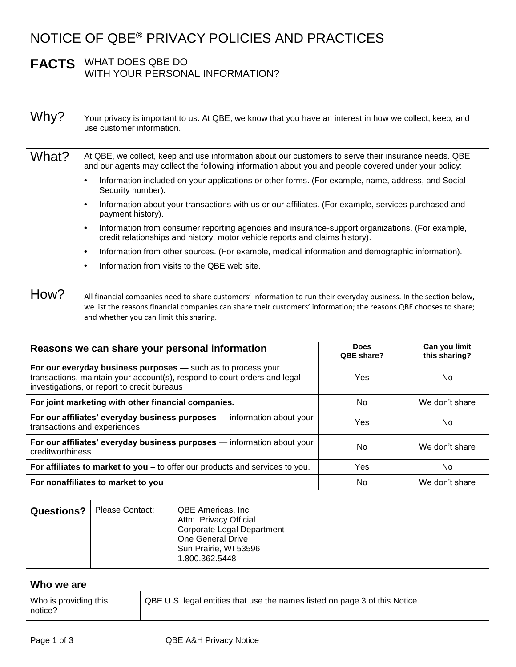# NOTICE OF QBE® PRIVACY POLICIES AND PRACTICES

| <b>FACTS</b> | WHAT DOES QBE DO<br>WITH YOUR PERSONAL INFORMATION?                                                                                                                                                                                                                                                                                                                                                                                                                                                                                                                                                                                                                                                                                                                                                                                             |  |
|--------------|-------------------------------------------------------------------------------------------------------------------------------------------------------------------------------------------------------------------------------------------------------------------------------------------------------------------------------------------------------------------------------------------------------------------------------------------------------------------------------------------------------------------------------------------------------------------------------------------------------------------------------------------------------------------------------------------------------------------------------------------------------------------------------------------------------------------------------------------------|--|
| Why?         | Your privacy is important to us. At QBE, we know that you have an interest in how we collect, keep, and<br>use customer information.                                                                                                                                                                                                                                                                                                                                                                                                                                                                                                                                                                                                                                                                                                            |  |
| What?        | At QBE, we collect, keep and use information about our customers to serve their insurance needs. QBE<br>and our agents may collect the following information about you and people covered under your policy:<br>Information included on your applications or other forms. (For example, name, address, and Social<br>Security number).<br>Information about your transactions with us or our affiliates. (For example, services purchased and<br>payment history).<br>Information from consumer reporting agencies and insurance-support organizations. (For example,<br>$\bullet$<br>credit relationships and history, motor vehicle reports and claims history).<br>Information from other sources. (For example, medical information and demographic information).<br>$\bullet$<br>Information from visits to the QBE web site.<br>$\bullet$ |  |

| How? | All financial companies need to share customers' information to run their everyday business. In the section below, |
|------|--------------------------------------------------------------------------------------------------------------------|
|      | we list the reasons financial companies can share their customers' information; the reasons QBE chooses to share;  |
|      | and whether you can limit this sharing.                                                                            |
|      |                                                                                                                    |

| Reasons we can share your personal information                                                                                                                                           | <b>Does</b><br>QBE share? | Can you limit<br>this sharing? |
|------------------------------------------------------------------------------------------------------------------------------------------------------------------------------------------|---------------------------|--------------------------------|
| For our everyday business purposes - such as to process your<br>transactions, maintain your account(s), respond to court orders and legal<br>investigations, or report to credit bureaus | Yes                       | No                             |
| For joint marketing with other financial companies.                                                                                                                                      | No.                       | We don't share                 |
| For our affiliates' everyday business purposes - information about your<br>transactions and experiences                                                                                  | Yes                       | No                             |
| For our affiliates' everyday business purposes - information about your<br>creditworthiness                                                                                              | No                        | We don't share                 |
| For affiliates to market to you - to offer our products and services to you.                                                                                                             | Yes                       | No.                            |
| For nonaffiliates to market to you                                                                                                                                                       | No.                       | We don't share                 |

| <b>Questions?</b> | Please Contact: | QBE Americas, Inc.<br>Attn: Privacy Official<br>Corporate Legal Department<br>One General Drive<br>Sun Prairie, WI 53596<br>1.800.362.5448 |
|-------------------|-----------------|--------------------------------------------------------------------------------------------------------------------------------------------|
|-------------------|-----------------|--------------------------------------------------------------------------------------------------------------------------------------------|

| Who we are                       |                                                                             |
|----------------------------------|-----------------------------------------------------------------------------|
| Who is providing this<br>notice? | QBE U.S. legal entities that use the names listed on page 3 of this Notice. |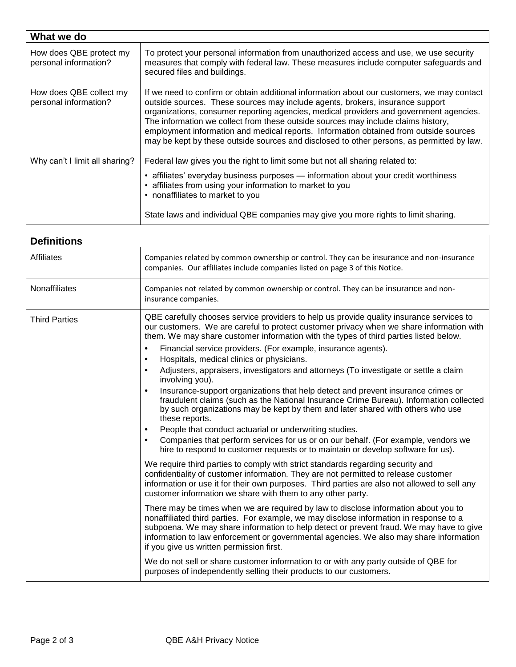| What we do                                       |                                                                                                                                                                                                                                                                                                                                                                                                                                                                                                                                                  |  |
|--------------------------------------------------|--------------------------------------------------------------------------------------------------------------------------------------------------------------------------------------------------------------------------------------------------------------------------------------------------------------------------------------------------------------------------------------------------------------------------------------------------------------------------------------------------------------------------------------------------|--|
| How does QBE protect my<br>personal information? | To protect your personal information from unauthorized access and use, we use security<br>measures that comply with federal law. These measures include computer safeguards and<br>secured files and buildings.                                                                                                                                                                                                                                                                                                                                  |  |
| How does QBE collect my<br>personal information? | If we need to confirm or obtain additional information about our customers, we may contact<br>outside sources. These sources may include agents, brokers, insurance support<br>organizations, consumer reporting agencies, medical providers and government agencies.<br>The information we collect from these outside sources may include claims history,<br>employment information and medical reports. Information obtained from outside sources<br>may be kept by these outside sources and disclosed to other persons, as permitted by law. |  |
| Why can't I limit all sharing?                   | Federal law gives you the right to limit some but not all sharing related to:<br>• affiliates' everyday business purposes — information about your credit worthiness<br>• affiliates from using your information to market to you<br>• nonaffiliates to market to you<br>State laws and individual QBE companies may give you more rights to limit sharing.                                                                                                                                                                                      |  |

| <b>Definitions</b>   |                                                                                                                                                                                                                                                                                                                                                                                                                                                                                                                                                                                                                                                                                                                                                                                                                                                                                                                                                                                                                                                                                                                                                                                                                                                                                                                                                                                                                                                                                                                                                                                                                                                                                                                                                                                                                                                                                                                                                                                                                            |  |
|----------------------|----------------------------------------------------------------------------------------------------------------------------------------------------------------------------------------------------------------------------------------------------------------------------------------------------------------------------------------------------------------------------------------------------------------------------------------------------------------------------------------------------------------------------------------------------------------------------------------------------------------------------------------------------------------------------------------------------------------------------------------------------------------------------------------------------------------------------------------------------------------------------------------------------------------------------------------------------------------------------------------------------------------------------------------------------------------------------------------------------------------------------------------------------------------------------------------------------------------------------------------------------------------------------------------------------------------------------------------------------------------------------------------------------------------------------------------------------------------------------------------------------------------------------------------------------------------------------------------------------------------------------------------------------------------------------------------------------------------------------------------------------------------------------------------------------------------------------------------------------------------------------------------------------------------------------------------------------------------------------------------------------------------------------|--|
| <b>Affiliates</b>    | Companies related by common ownership or control. They can be insurance and non-insurance<br>companies. Our affiliates include companies listed on page 3 of this Notice.                                                                                                                                                                                                                                                                                                                                                                                                                                                                                                                                                                                                                                                                                                                                                                                                                                                                                                                                                                                                                                                                                                                                                                                                                                                                                                                                                                                                                                                                                                                                                                                                                                                                                                                                                                                                                                                  |  |
| Nonaffiliates        | Companies not related by common ownership or control. They can be insurance and non-<br>insurance companies.                                                                                                                                                                                                                                                                                                                                                                                                                                                                                                                                                                                                                                                                                                                                                                                                                                                                                                                                                                                                                                                                                                                                                                                                                                                                                                                                                                                                                                                                                                                                                                                                                                                                                                                                                                                                                                                                                                               |  |
| <b>Third Parties</b> | QBE carefully chooses service providers to help us provide quality insurance services to<br>our customers. We are careful to protect customer privacy when we share information with<br>them. We may share customer information with the types of third parties listed below.<br>Financial service providers. (For example, insurance agents).<br>$\bullet$<br>Hospitals, medical clinics or physicians.<br>$\bullet$<br>Adjusters, appraisers, investigators and attorneys (To investigate or settle a claim<br>$\bullet$<br>involving you).<br>Insurance-support organizations that help detect and prevent insurance crimes or<br>$\bullet$<br>fraudulent claims (such as the National Insurance Crime Bureau). Information collected<br>by such organizations may be kept by them and later shared with others who use<br>these reports.<br>People that conduct actuarial or underwriting studies.<br>٠<br>Companies that perform services for us or on our behalf. (For example, vendors we<br>$\bullet$<br>hire to respond to customer requests or to maintain or develop software for us).<br>We require third parties to comply with strict standards regarding security and<br>confidentiality of customer information. They are not permitted to release customer<br>information or use it for their own purposes. Third parties are also not allowed to sell any<br>customer information we share with them to any other party.<br>There may be times when we are required by law to disclose information about you to<br>nonaffiliated third parties. For example, we may disclose information in response to a<br>subpoena. We may share information to help detect or prevent fraud. We may have to give<br>information to law enforcement or governmental agencies. We also may share information<br>if you give us written permission first.<br>We do not sell or share customer information to or with any party outside of QBE for<br>purposes of independently selling their products to our customers. |  |